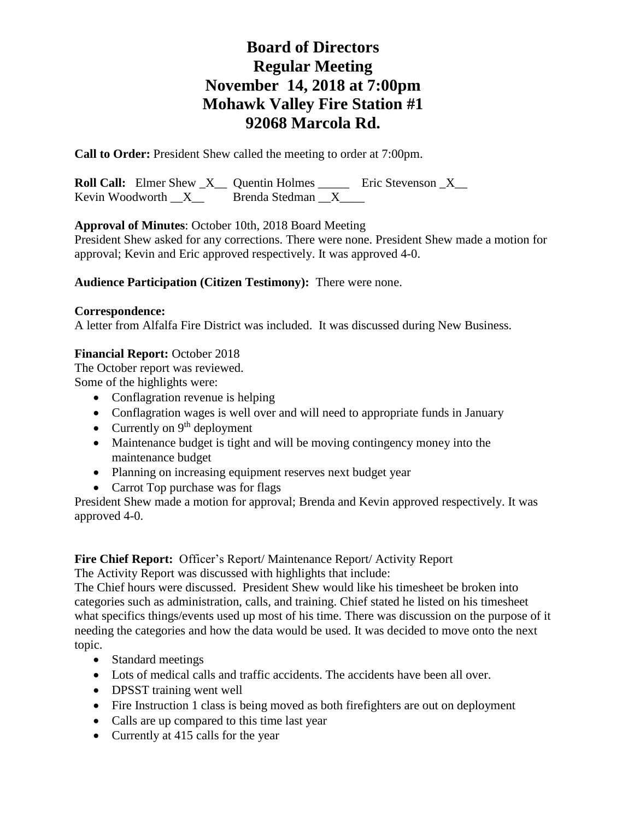**Call to Order:** President Shew called the meeting to order at 7:00pm.

**Roll Call:** Elmer Shew X Quentin Holmes \_\_\_\_\_ Eric Stevenson X Kevin Woodworth  $X$  Brenda Stedman  $X$ 

**Approval of Minutes**: October 10th, 2018 Board Meeting

President Shew asked for any corrections. There were none. President Shew made a motion for approval; Kevin and Eric approved respectively. It was approved 4-0.

## **Audience Participation (Citizen Testimony):** There were none.

## **Correspondence:**

A letter from Alfalfa Fire District was included. It was discussed during New Business.

## **Financial Report:** October 2018

The October report was reviewed. Some of the highlights were:

- Conflagration revenue is helping
- Conflagration wages is well over and will need to appropriate funds in January
- Currently on  $9<sup>th</sup>$  deployment
- Maintenance budget is tight and will be moving contingency money into the maintenance budget
- Planning on increasing equipment reserves next budget year
- Carrot Top purchase was for flags

President Shew made a motion for approval; Brenda and Kevin approved respectively. It was approved 4-0.

## **Fire Chief Report:** Officer's Report/ Maintenance Report/ Activity Report

The Activity Report was discussed with highlights that include:

The Chief hours were discussed. President Shew would like his timesheet be broken into categories such as administration, calls, and training. Chief stated he listed on his timesheet what specifics things/events used up most of his time. There was discussion on the purpose of it needing the categories and how the data would be used. It was decided to move onto the next topic.

- Standard meetings
- Lots of medical calls and traffic accidents. The accidents have been all over.
- **DPSST** training went well
- Fire Instruction 1 class is being moved as both firefighters are out on deployment
- Calls are up compared to this time last year
- Currently at 415 calls for the year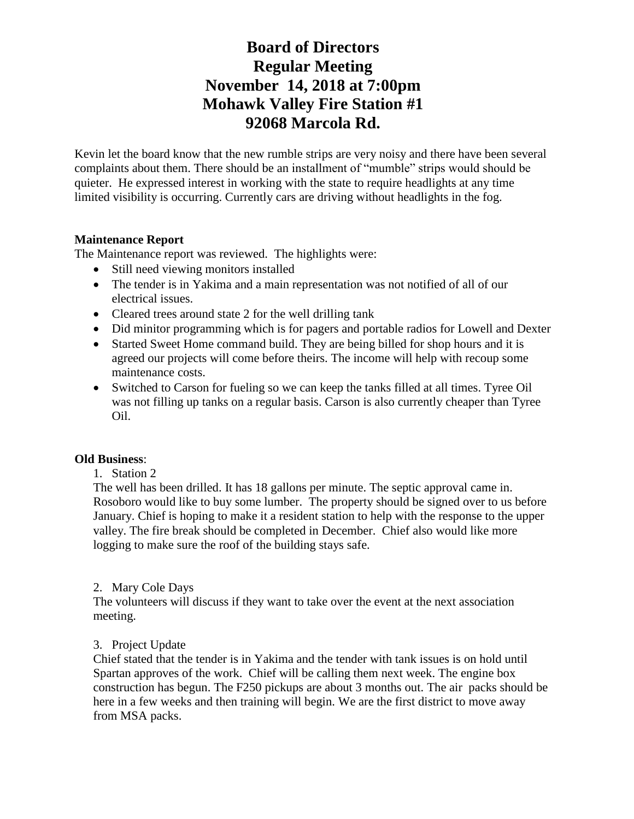Kevin let the board know that the new rumble strips are very noisy and there have been several complaints about them. There should be an installment of "mumble" strips would should be quieter. He expressed interest in working with the state to require headlights at any time limited visibility is occurring. Currently cars are driving without headlights in the fog.

## **Maintenance Report**

The Maintenance report was reviewed. The highlights were:

- Still need viewing monitors installed
- The tender is in Yakima and a main representation was not notified of all of our electrical issues.
- Cleared trees around state 2 for the well drilling tank
- Did minitor programming which is for pagers and portable radios for Lowell and Dexter
- Started Sweet Home command build. They are being billed for shop hours and it is agreed our projects will come before theirs. The income will help with recoup some maintenance costs.
- Switched to Carson for fueling so we can keep the tanks filled at all times. Tyree Oil was not filling up tanks on a regular basis. Carson is also currently cheaper than Tyree Oil.

## **Old Business**:

## 1. Station 2

The well has been drilled. It has 18 gallons per minute. The septic approval came in. Rosoboro would like to buy some lumber. The property should be signed over to us before January. Chief is hoping to make it a resident station to help with the response to the upper valley. The fire break should be completed in December. Chief also would like more logging to make sure the roof of the building stays safe.

## 2. Mary Cole Days

The volunteers will discuss if they want to take over the event at the next association meeting.

## 3. Project Update

Chief stated that the tender is in Yakima and the tender with tank issues is on hold until Spartan approves of the work. Chief will be calling them next week. The engine box construction has begun. The F250 pickups are about 3 months out. The air packs should be here in a few weeks and then training will begin. We are the first district to move away from MSA packs.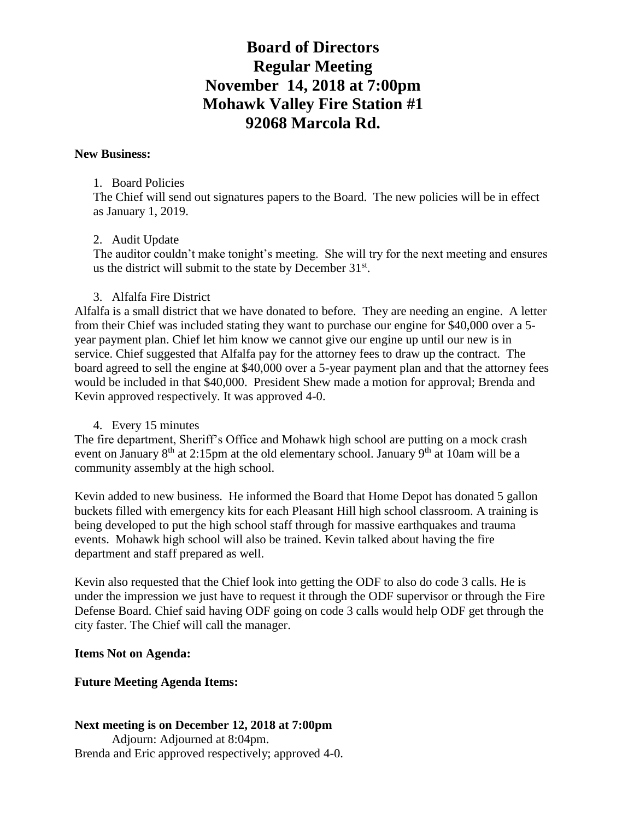#### **New Business:**

#### 1. Board Policies

The Chief will send out signatures papers to the Board. The new policies will be in effect as January 1, 2019.

## 2. Audit Update

The auditor couldn't make tonight's meeting. She will try for the next meeting and ensures us the district will submit to the state by December  $31<sup>st</sup>$ .

#### 3. Alfalfa Fire District

Alfalfa is a small district that we have donated to before. They are needing an engine. A letter from their Chief was included stating they want to purchase our engine for \$40,000 over a 5 year payment plan. Chief let him know we cannot give our engine up until our new is in service. Chief suggested that Alfalfa pay for the attorney fees to draw up the contract. The board agreed to sell the engine at \$40,000 over a 5-year payment plan and that the attorney fees would be included in that \$40,000. President Shew made a motion for approval; Brenda and Kevin approved respectively. It was approved 4-0.

4. Every 15 minutes

The fire department, Sheriff's Office and Mohawk high school are putting on a mock crash event on January  $8<sup>th</sup>$  at 2:15pm at the old elementary school. January  $9<sup>th</sup>$  at 10am will be a community assembly at the high school.

Kevin added to new business. He informed the Board that Home Depot has donated 5 gallon buckets filled with emergency kits for each Pleasant Hill high school classroom. A training is being developed to put the high school staff through for massive earthquakes and trauma events. Mohawk high school will also be trained. Kevin talked about having the fire department and staff prepared as well.

Kevin also requested that the Chief look into getting the ODF to also do code 3 calls. He is under the impression we just have to request it through the ODF supervisor or through the Fire Defense Board. Chief said having ODF going on code 3 calls would help ODF get through the city faster. The Chief will call the manager.

## **Items Not on Agenda:**

## **Future Meeting Agenda Items:**

## **Next meeting is on December 12, 2018 at 7:00pm** Adjourn: Adjourned at 8:04pm. Brenda and Eric approved respectively; approved 4-0.